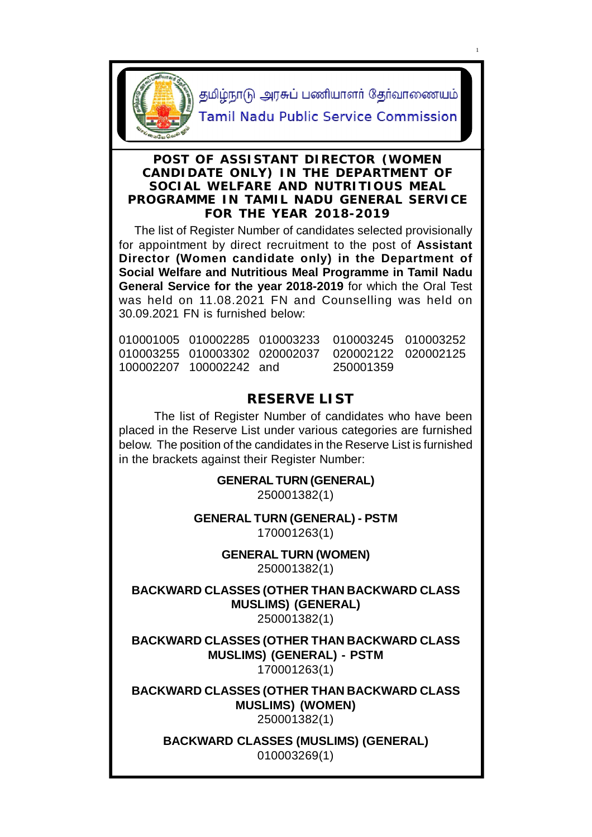

தமிழ்நாடு அரசுப் பணியாளர் தேர்வாணையம்

1

Tamil Nadu Public Service Commission

# **POST OF ASSISTANT DIRECTOR (WOMEN CANDIDATE ONLY) IN THE DEPARTMENT OF SOCIAL WELFARE AND NUTRITIOUS MEAL PROGRAMME IN TAMIL NADU GENERAL SERVICE FOR THE YEAR 2018-2019**

 The list of Register Number of candidates selected provisionally for appointment by direct recruitment to the post of **Assistant Director (Women candidate only) in the Department of Social Welfare and Nutritious Meal Programme in Tamil Nadu General Service for the year 2018-2019** for which the Oral Test was held on 11.08.2021 FN and Counselling was held on 30.09.2021 FN is furnished below:

| 100002207 100002242 and | 250001359 |  |
|-------------------------|-----------|--|

# **RESERVE LIST**

The list of Register Number of candidates who have been placed in the Reserve List under various categories are furnished below. The position of the candidates in the Reserve List is furnished in the brackets against their Register Number:

> **GENERAL TURN (GENERAL)** 250001382(1)

**GENERAL TURN (GENERAL) - PSTM** 170001263(1)

**GENERAL TURN (WOMEN)**

250001382(1)

**BACKWARD CLASSES (OTHER THAN BACKWARD CLASS MUSLIMS) (GENERAL)** 250001382(1)

**BACKWARD CLASSES (OTHER THAN BACKWARD CLASS MUSLIMS) (GENERAL) - PSTM** 170001263(1)

**BACKWARD CLASSES (OTHER THAN BACKWARD CLASS MUSLIMS) (WOMEN)** 250001382(1)

**BACKWARD CLASSES (MUSLIMS) (GENERAL)** 010003269(1)